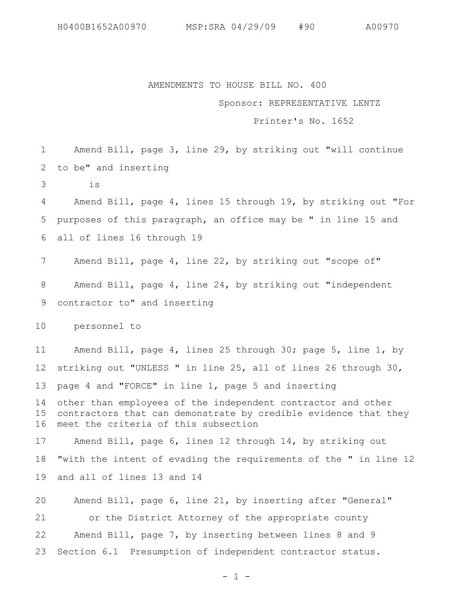AMENDMENTS TO HOUSE BILL NO. 400

## Sponsor: REPRESENTATIVE LENTZ

Printer's No. 1652

Amend Bill, page 3, line 29, by striking out "will continue to be" and inserting 1 2

is 3

Amend Bill, page 4, lines 15 through 19, by striking out "For purposes of this paragraph, an office may be " in line 15 and all of lines 16 through 19 4 5 6

Amend Bill, page 4, line 22, by striking out "scope of" Amend Bill, page 4, line 24, by striking out "independent contractor to" and inserting 7 8 9

personnel to 10

Amend Bill, page 4, lines 25 through 30; page 5, line 1, by striking out "UNLESS " in line 25, all of lines 26 through 30, page 4 and "FORCE" in line 1, page 5 and inserting other than employees of the independent contractor and other contractors that can demonstrate by credible evidence that they meet the criteria of this subsection Amend Bill, page 6, lines 12 through 14, by striking out "with the intent of evading the requirements of the " in line 12 and all of lines 13 and 14 11 12 13 14 15 16 17 18 19

Amend Bill, page 6, line 21, by inserting after "General" or the District Attorney of the appropriate county Amend Bill, page 7, by inserting between lines 8 and 9 Section 6.1 Presumption of independent contractor status. 20 21 22 23

 $- 1 -$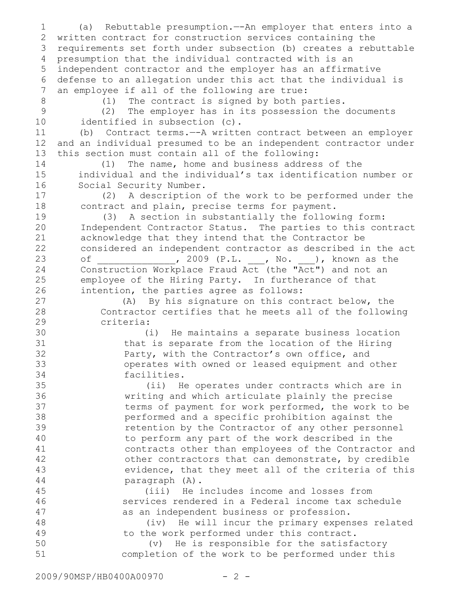(a) Rebuttable presumption.—-An employer that enters into a written contract for construction services containing the 2 requirements set forth under subsection (b) creates a rebuttable 3 presumption that the individual contracted with is an 4 independent contractor and the employer has an affirmative 5 6 defense to an allegation under this act that the individual is an employee if all of the following are true: (1) The contract is signed by both parties. (2) The employer has in its possession the documents identified in subsection (c). (b) Contract terms.—-A written contract between an employer and an individual presumed to be an independent contractor under this section must contain all of the following: (1) The name, home and business address of the individual and the individual's tax identification number or Social Security Number. (2) A description of the work to be performed under the contract and plain, precise terms for payment. (3) A section in substantially the following form: Independent Contractor Status. The parties to this contract acknowledge that they intend that the Contractor be considered an independent contractor as described in the act of \_\_\_\_\_\_\_\_\_\_\_\_, 2009 (P.L. \_\_, No. \_\_), known as the Construction Workplace Fraud Act (the "Act") and not an employee of the Hiring Party. In furtherance of that intention, the parties agree as follows: (A) By his signature on this contract below, the Contractor certifies that he meets all of the following criteria: (i) He maintains a separate business location that is separate from the location of the Hiring Party, with the Contractor's own office, and operates with owned or leased equipment and other facilities. (ii) He operates under contracts which are in writing and which articulate plainly the precise terms of payment for work performed, the work to be performed and a specific prohibition against the retention by the Contractor of any other personnel to perform any part of the work described in the contracts other than employees of the Contractor and other contractors that can demonstrate, by credible evidence, that they meet all of the criteria of this paragraph (A). (iii) He includes income and losses from services rendered in a Federal income tax schedule as an independent business or profession. (iv) He will incur the primary expenses related to the work performed under this contract. (v) He is responsible for the satisfactory completion of the work to be performed under this 1 7 8 9 10 11 12 13 14 15 16 17 18 19 20 21 22 23 24 25 26 27 28 29 30 31 32 33 34 35 36 37 38 39 40 41 42 43 44 45 46 47 48 49 50 51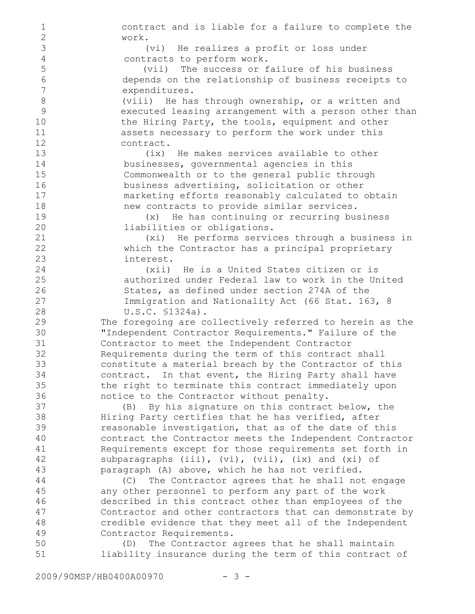contract and is liable for a failure to complete the work. (vi) He realizes a profit or loss under contracts to perform work. (vii) The success or failure of his business depends on the relationship of business receipts to expenditures. (viii) He has through ownership, or a written and executed leasing arrangement with a person other than the Hiring Party, the tools, equipment and other assets necessary to perform the work under this contract. (ix) He makes services available to other businesses, governmental agencies in this Commonwealth or to the general public through business advertising, solicitation or other marketing efforts reasonably calculated to obtain new contracts to provide similar services. (x) He has continuing or recurring business liabilities or obligations. (xi) He performs services through a business in which the Contractor has a principal proprietary interest. (xii) He is a United States citizen or is authorized under Federal law to work in the United States, as defined under section 274A of the Immigration and Nationality Act (66 Stat. 163, 8 U.S.C. §1324a). The foregoing are collectively referred to herein as the "Independent Contractor Requirements." Failure of the Contractor to meet the Independent Contractor Requirements during the term of this contract shall constitute a material breach by the Contractor of this contract. In that event, the Hiring Party shall have the right to terminate this contract immediately upon notice to the Contractor without penalty. (B) By his signature on this contract below, the Hiring Party certifies that he has verified, after reasonable investigation, that as of the date of this contract the Contractor meets the Independent Contractor Requirements except for those requirements set forth in subparagraphs (iii), (vi), (vii), (ix) and (xi) of paragraph (A) above, which he has not verified. (C) The Contractor agrees that he shall not engage any other personnel to perform any part of the work described in this contract other than employees of the Contractor and other contractors that can demonstrate by credible evidence that they meet all of the Independent Contractor Requirements. (D) The Contractor agrees that he shall maintain liability insurance during the term of this contract of 1 2 3 4 5 6 7 8 9 10 11 12 13 14 15 16 17 18 19 20 21 22 23 24 25 26 27 28 29 30 31 32 33 34 35 36 37 38 39 40 41 42 43 44 45 46 47 48 49 50 51